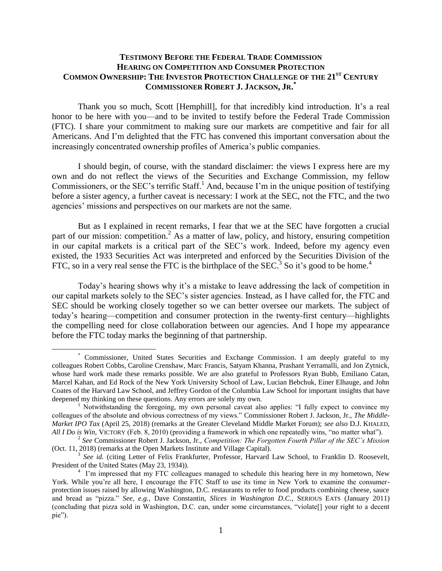## **TESTIMONY BEFORE THE FEDERAL TRADE COMMISSION HEARING ON COMPETITION AND CONSUMER PROTECTION COMMON OWNERSHIP: THE INVESTOR PROTECTION CHALLENGE OF THE 21ST CENTURY COMMISSIONER ROBERT J. JACKSON, JR. \***

Thank you so much, Scott [Hemphill], for that incredibly kind introduction. It's a real honor to be here with you—and to be invited to testify before the Federal Trade Commission (FTC). I share your commitment to making sure our markets are competitive and fair for all Americans. And I'm delighted that the FTC has convened this important conversation about the increasingly concentrated ownership profiles of America's public companies.

I should begin, of course, with the standard disclaimer: the views I express here are my own and do not reflect the views of the Securities and Exchange Commission, my fellow Commissioners, or the SEC's terrific Staff.<sup>1</sup> And, because I'm in the unique position of testifying before a sister agency, a further caveat is necessary: I work at the SEC, not the FTC, and the two agencies' missions and perspectives on our markets are not the same.

But as I explained in recent remarks, I fear that we at the SEC have forgotten a crucial part of our mission: competition.<sup>2</sup> As a matter of law, policy, and history, ensuring competition in our capital markets is a critical part of the SEC's work. Indeed, before my agency even existed, the 1933 Securities Act was interpreted and enforced by the Securities Division of the FTC, so in a very real sense the FTC is the birthplace of the SEC.<sup>3</sup> So it's good to be home.<sup>4</sup>

Today's hearing shows why it's a mistake to leave addressing the lack of competition in our capital markets solely to the SEC's sister agencies. Instead, as I have called for, the FTC and SEC should be working closely together so we can better oversee our markets. The subject of today's hearing—competition and consumer protection in the twenty-first century—highlights the compelling need for close collaboration between our agencies. And I hope my appearance before the FTC today marks the beginning of that partnership.

<sup>\*</sup> Commissioner, United States Securities and Exchange Commission. I am deeply grateful to my colleagues Robert Cobbs, Caroline Crenshaw, Marc Francis, Satyam Khanna, Prashant Yerramalli, and Jon Zytnick, whose hard work made these remarks possible. We are also grateful to Professors Ryan Bubb, Emiliano Catan, Marcel Kahan, and Ed Rock of the New York University School of Law, Lucian Bebchuk, Einer Elhauge, and John Coates of the Harvard Law School, and Jeffrey Gordon of the Columbia Law School for important insights that have deepened my thinking on these questions. Any errors are solely my own.

<sup>&</sup>lt;sup>1</sup> Notwithstanding the foregoing, my own personal caveat also applies: "I fully expect to convince my colleagues of the absolute and obvious correctness of my views." Commissioner Robert J. Jackson, Jr., *The Middle-Market IPO Tax* (April 25, 2018) (remarks at the Greater Cleveland Middle Market Forum); *see also* D.J. KHALED, *All I Do is Win,* VICTORY (Feb. 8, 2010) (providing a framework in which one repeatedly wins, "no matter what").

<sup>2</sup> *See* Commissioner Robert J. Jackson, Jr., *Competition: The Forgotten Fourth Pillar of the SEC's Mission* (Oct. 11, 2018) (remarks at the Open Markets Institute and Village Capital).

<sup>&</sup>lt;sup>3</sup> See id. (citing Letter of Felix Frankfurter, Professor, Harvard Law School, to Franklin D. Roosevelt, President of the United States (May 23, 1934)).

<sup>&</sup>lt;sup>4</sup> I'm impressed that my FTC colleagues managed to schedule this hearing here in my hometown, New York. While you're all here, I encourage the FTC Staff to use its time in New York to examine the consumerprotection issues raised by allowing Washington, D.C. restaurants to refer to food products combining cheese, sauce and bread as "pizza." *See, e.g.*, Dave Constantin, *Slices in Washington D.C.*, SERIOUS EATS (January 2011) (concluding that pizza sold in Washington, D.C. can, under some circumstances, "violate[] your right to a decent pie").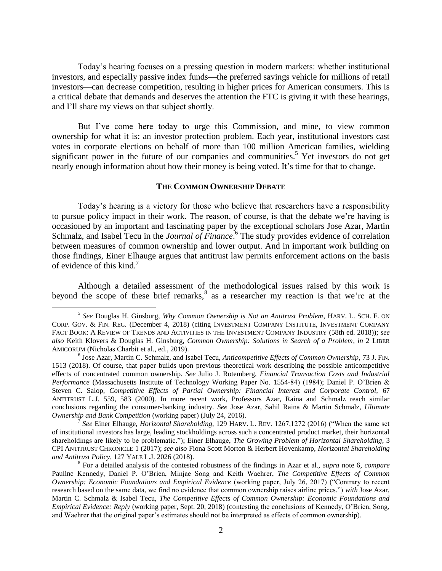Today's hearing focuses on a pressing question in modern markets: whether institutional investors, and especially passive index funds—the preferred savings vehicle for millions of retail investors—can decrease competition, resulting in higher prices for American consumers. This is a critical debate that demands and deserves the attention the FTC is giving it with these hearings, and I'll share my views on that subject shortly.

But I've come here today to urge this Commission, and mine, to view common ownership for what it is: an investor protection problem. Each year, institutional investors cast votes in corporate elections on behalf of more than 100 million American families, wielding significant power in the future of our companies and communities.<sup>5</sup> Yet investors do not get nearly enough information about how their money is being voted. It's time for that to change.

## **THE COMMON OWNERSHIP DEBATE**

Today's hearing is a victory for those who believe that researchers have a responsibility to pursue policy impact in their work. The reason, of course, is that the debate we're having is occasioned by an important and fascinating paper by the exceptional scholars Jose Azar, Martin Schmalz, and Isabel Tecu in the *Journal of Finance*.<sup>6</sup> The study provides evidence of correlation between measures of common ownership and lower output. And in important work building on those findings, Einer Elhauge argues that antitrust law permits enforcement actions on the basis of evidence of this kind.<sup>7</sup>

Although a detailed assessment of the methodological issues raised by this work is beyond the scope of these brief remarks,  $8$  as a researcher my reaction is that we're at the

<sup>5</sup> *See* Douglas H. Ginsburg, *Why Common Ownership is Not an Antitrust Problem*, HARV. L. SCH. F. ON CORP. GOV. & FIN. REG. (December 4, 2018) (citing INVESTMENT COMPANY INSTITUTE, INVESTMENT COMPANY FACT BOOK: A REVIEW OF TRENDS AND ACTIVITIES IN THE INVESTMENT COMPANY INDUSTRY (58th ed. 2018)); *see also* Keith Klovers & Douglas H. Ginsburg, *Common Ownership: Solutions in Search of a Problem*, *in* 2 LIBER AMICORUM (Nicholas Charbit et al., ed., 2019).

<sup>6</sup> Jose Azar, Martin C. Schmalz, and Isabel Tecu, *Anticompetitive Effects of Common Ownership*, 73 J. FIN. 1513 (2018). Of course, that paper builds upon previous theoretical work describing the possible anticompetitive effects of concentrated common ownership. *See* Julio J. Rotemberg, *Financial Transaction Costs and Industrial Performance* (Massachusetts Institute of Technology Working Paper No. 1554-84) (1984); Daniel P. O'Brien & Steven C. Salop, *Competitive Effects of Partial Ownership: Financial Interest and Corporate Control,* 67 ANTITRUST L.J. 559, 583 (2000). In more recent work, Professors Azar, Raina and Schmalz reach similar conclusions regarding the consumer-banking industry. *See* Jose Azar, Sahil Raina & Martin Schmalz, *Ultimate Ownership and Bank Competition* (working paper) (July 24, 2016).

<sup>7</sup> *See* Einer Elhauge, *Horizontal Shareholding*, 129 HARV. L. REV. 1267,1272 (2016) ("When the same set of institutional investors has large, leading stockholdings across such a concentrated product market, their horizontal shareholdings are likely to be problematic."); Einer Elhauge, *The Growing Problem of Horizontal Shareholding*, 3 CPI ANTITRUST CHRONICLE 1 (2017); *see also* Fiona Scott Morton & Herbert Hovenkamp, *Horizontal Shareholding and Antitrust Policy*, 127 YALE L.J. 2026 (2018).

<sup>8</sup> For a detailed analysis of the contested robustness of the findings in Azar et al., *supra* note 6, *compare*  Pauline Kennedy, Daniel P. O'Brien, Minjae Song and Keith Waehrer, *The Competitive Effects of Common Ownership: Economic Foundations and Empirical Evidence* (working paper, July 26, 2017) ("Contrary to recent research based on the same data, we find no evidence that common ownership raises airline prices.") *with* Jose Azar, Martin C. Schmalz & Isabel Tecu, *The Competitive Effects of Common Ownership: Economic Foundations and Empirical Evidence: Reply* (working paper, Sept. 20, 2018) (contesting the conclusions of Kennedy, O'Brien, Song, and Waehrer that the original paper's estimates should not be interpreted as effects of common ownership).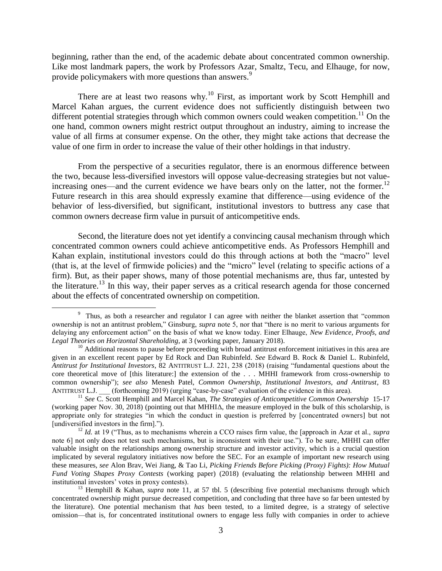beginning, rather than the end, of the academic debate about concentrated common ownership. Like most landmark papers, the work by Professors Azar, Smaltz, Tecu, and Elhauge, for now, provide policymakers with more questions than answers.<sup>9</sup>

There are at least two reasons why.<sup>10</sup> First, as important work by Scott Hemphill and Marcel Kahan argues, the current evidence does not sufficiently distinguish between two different potential strategies through which common owners could weaken competition.<sup>11</sup> On the one hand, common owners might restrict output throughout an industry, aiming to increase the value of all firms at consumer expense. On the other, they might take actions that decrease the value of one firm in order to increase the value of their other holdings in that industry.

From the perspective of a securities regulator, there is an enormous difference between the two, because less-diversified investors will oppose value-decreasing strategies but not valueincreasing ones—and the current evidence we have bears only on the latter, not the former.<sup>12</sup> Future research in this area should expressly examine that difference—using evidence of the behavior of less-diversified, but significant, institutional investors to buttress any case that common owners decrease firm value in pursuit of anticompetitive ends.

Second, the literature does not yet identify a convincing causal mechanism through which concentrated common owners could achieve anticompetitive ends. As Professors Hemphill and Kahan explain, institutional investors could do this through actions at both the "macro" level (that is, at the level of firmwide policies) and the "micro" level (relating to specific actions of a firm). But, as their paper shows, many of those potential mechanisms are, thus far, untested by the literature.<sup>13</sup> In this way, their paper serves as a critical research agenda for those concerned about the effects of concentrated ownership on competition.

<sup>&</sup>lt;sup>9</sup> Thus, as both a researcher and regulator I can agree with neither the blanket assertion that "common ownership is not an antitrust problem," Ginsburg, *supra* note 5, nor that "there is no merit to various arguments for delaying any enforcement action" on the basis of what we know today. Einer Elhauge, *New Evidence, Proofs, and Legal Theories on Horizontal Shareholding*, at 3 (working paper, January 2018).

<sup>&</sup>lt;sup>10</sup> Additional reasons to pause before proceeding with broad antitrust enforcement initiatives in this area are given in an excellent recent paper by Ed Rock and Dan Rubinfeld. *See* Edward B. Rock & Daniel L. Rubinfeld, *Antitrust for Institutional Investors*, 82 ANTITRUST L.J. 221, 238 (2018) (raising "fundamental questions about the core theoretical move of [this literature:] the extension of the . . . MHHI framework from cross-ownership to common ownership"); *see also* Menesh Patel, *Common Ownership, Institutional Investors, and Antitrust*, 83 ANTITRUST L.J. (forthcoming 2019) (urging "case-by-case" evaluation of the evidence in this area).

<sup>11</sup> *See* C. Scott Hemphill and Marcel Kahan, *The Strategies of Anticompetitive Common Ownership* 15-17 (working paper Nov. 30, 2018) (pointing out that MHHI $\Delta$ , the measure employed in the bulk of this scholarship, is appropriate only for strategies "in which the conduct in question is preferred by [concentrated owners] but not [undiversified investors in the firm].").

<sup>12</sup> *Id.* at 19 ("Thus, as to mechanisms wherein a CCO raises firm value, the [approach in Azar et al., *supra*  note 6] not only does not test such mechanisms, but is inconsistent with their use."). To be sure, MHHI can offer valuable insight on the relationships among ownership structure and investor activity, which is a crucial question implicated by several regulatory initiatives now before the SEC. For an example of important new research using these measures, *see* Alon Brav, Wei Jiang, & Tao Li, *Picking Friends Before Picking (Proxy) Fights): How Mutual Fund Voting Shapes Proxy Contests* (working paper) (2018) (evaluating the relationship between MHHI and institutional investors' votes in proxy contests).

<sup>13</sup> Hemphill & Kahan, *supra* note 11, at 57 tbl. 5 (describing five potential mechanisms through which concentrated ownership might pursue decreased competition, and concluding that three have so far been untested by the literature). One potential mechanism that *has* been tested, to a limited degree, is a strategy of selective omission—that is, for concentrated institutional owners to engage less fully with companies in order to achieve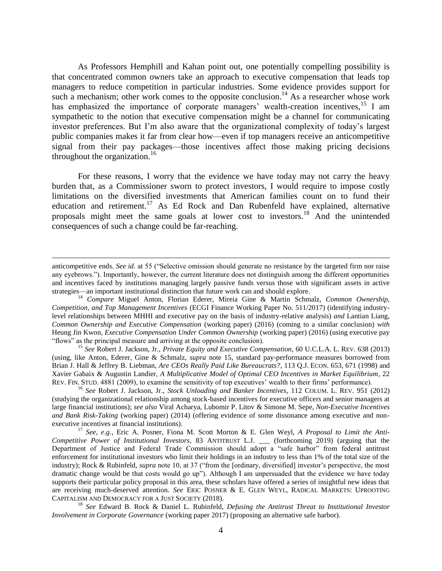As Professors Hemphill and Kahan point out, one potentially compelling possibility is that concentrated common owners take an approach to executive compensation that leads top managers to reduce competition in particular industries. Some evidence provides support for such a mechanism; other work comes to the opposite conclusion.<sup>14</sup> As a researcher whose work has emphasized the importance of corporate managers' wealth-creation incentives,<sup>15</sup> I am sympathetic to the notion that executive compensation might be a channel for communicating investor preferences. But I'm also aware that the organizational complexity of today's largest public companies makes it far from clear how—even if top managers receive an anticompetitive signal from their pay packages—those incentives affect those making pricing decisions throughout the organization. 16

For these reasons, I worry that the evidence we have today may not carry the heavy burden that, as a Commissioner sworn to protect investors, I would require to impose costly limitations on the diversified investments that American families count on to fund their education and retirement.<sup>17</sup> As Ed Rock and Dan Rubenfeld have explained, alternative proposals might meet the same goals at lower cost to investors.<sup>18</sup> And the unintended consequences of such a change could be far-reaching.

 $\overline{a}$ 

<sup>15</sup> *See* Robert J. Jackson, Jr., *Private Equity and Executive Compensation*, 60 U.C.L.A. L. REV. 638 (2013) (using, like Anton, Ederer, Gine & Schmalz, *supra* note 15, standard pay-performance measures borrowed from Brian J. Hall & Jeffrey B. Liebman, *Are CEOs Really Paid Like Bureaucrats?*, 113 Q.J. ECON. 653, 671 (1998) and Xavier Gabaix & Augustin Landier, *A Multiplicative Model of Optimal CEO Incentives in Market Equilibrium*, 22 REV. FIN. STUD. 4881 (2009), to examine the sensitivity of top executives' wealth to their firms' performance).

<sup>16</sup> *See* Robert J. Jackson, Jr., *Stock Unloading and Banker Incentives*, 112 COLUM. L. REV. 951 (2012) (studying the organizational relationship among stock-based incentives for executive officers and senior managers at large financial institutions); *see also* Viral Acharya, Lubomir P. Litov & Simone M. Sepe, *Non-Executive Incentives and Bank Risk-Taking* (working paper) (2014) (offering evidence of some dissonance among executive and nonexecutive incentives at financial institutions).

<sup>17</sup> *See, e.g.*, Eric A. Posner, Fiona M. Scott Morton & E. Glen Weyl, *A Proposal to Limit the Anti-Competitive Power of Institutional Investors*, 83 ANTITRUST L.J. \_\_\_ (forthcoming 2019) (arguing that the Department of Justice and Federal Trade Commission should adopt a "safe harbor" from federal antitrust enforcement for institutional investors who limit their holdings in an industry to less than 1% of the total size of the industry); Rock & Rubinfeld, *supra* note 10, at 37 ("from the [ordinary, diversified] investor's perspective, the most dramatic change would be that costs would go up"). Although I am unpersuaded that the evidence we have today supports their particular policy proposal in this area, these scholars have offered a series of insightful new ideas that are receiving much-deserved attention. *See* ERIC POSNER & E. GLEN WEYL, RADICAL MARKETS: UPROOTING CAPITALISM AND DEMOCRACY FOR A JUST SOCIETY (2018).

<sup>18</sup> *See* Edward B. Rock & Daniel L. Rubinfeld, *Defusing the Antitrust Threat to Institutional Investor Involvement in Corporate Governance* (working paper 2017) (proposing an alternative safe harbor).

anticompetitive ends. *See id*. at 55 ("Selective omission should generate no resistance by the targeted firm nor raise any eyebrows."). Importantly, however, the current literature does not distinguish among the different opportunities and incentives faced by institutions managing largely passive funds versus those with significant assets in active strategies—an important institutional distinction that future work can and should explore.

<sup>14</sup> *Compare* Miguel Anton, Florian Ederer, Mireia Gine & Martin Schmalz, *Common Ownership, Competition, and Top Management Incentives* (ECGI Finance Working Paper No. 511/2017) (identifying industrylevel relationships between MHHI and executive pay on the basis of industry-relative analysis) *and* Lantian Liang, *Common Ownership and Executive Compensation* (working paper) (2016) (coming to a similar conclusion) *with*  Heung Jin Kwon*, Executive Compensation Under Common Ownership* (working paper) (2016) (using executive pay "flows" as the principal measure and arriving at the opposite conclusion).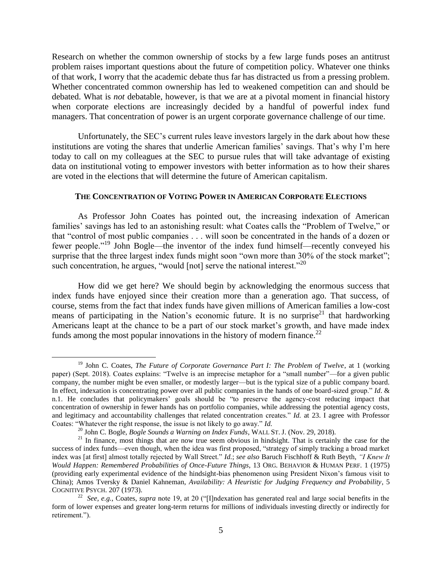Research on whether the common ownership of stocks by a few large funds poses an antitrust problem raises important questions about the future of competition policy. Whatever one thinks of that work, I worry that the academic debate thus far has distracted us from a pressing problem. Whether concentrated common ownership has led to weakened competition can and should be debated. What is *not* debatable, however, is that we are at a pivotal moment in financial history when corporate elections are increasingly decided by a handful of powerful index fund managers. That concentration of power is an urgent corporate governance challenge of our time.

Unfortunately, the SEC's current rules leave investors largely in the dark about how these institutions are voting the shares that underlie American families' savings. That's why I'm here today to call on my colleagues at the SEC to pursue rules that will take advantage of existing data on institutional voting to empower investors with better information as to how their shares are voted in the elections that will determine the future of American capitalism.

## **THE CONCENTRATION OF VOTING POWER IN AMERICAN CORPORATE ELECTIONS**

As Professor John Coates has pointed out, the increasing indexation of American families' savings has led to an astonishing result: what Coates calls the "Problem of Twelve," or that "control of most public companies . . . will soon be concentrated in the hands of a dozen or fewer people."<sup>19</sup> John Bogle—the inventor of the index fund himself—recently conveyed his surprise that the three largest index funds might soon "own more than 30% of the stock market"; such concentration, he argues, "would [not] serve the national interest."  $20$ 

How did we get here? We should begin by acknowledging the enormous success that index funds have enjoyed since their creation more than a generation ago. That success, of course, stems from the fact that index funds have given millions of American families a low-cost means of participating in the Nation's economic future. It is no surprise<sup>21</sup> that hardworking Americans leapt at the chance to be a part of our stock market's growth, and have made index funds among the most popular innovations in the history of modern finance.<sup>22</sup>

<sup>19</sup> John C. Coates, *The Future of Corporate Governance Part I: The Problem of Twelve*, at 1 (working paper) (Sept. 2018). Coates explains: "Twelve is an imprecise metaphor for a "small number"—for a given public company, the number might be even smaller, or modestly larger—but is the typical size of a public company board. In effect, indexation is concentrating power over all public companies in the hands of one board-sized group." *Id*. & n.1. He concludes that policymakers' goals should be "to preserve the agency-cost reducing impact that concentration of ownership in fewer hands has on portfolio companies, while addressing the potential agency costs, and legitimacy and accountability challenges that related concentration creates." *Id.* at 23. I agree with Professor Coates: "Whatever the right response, the issue is not likely to go away." *Id.*

<sup>20</sup> John C. Bogle, *Bogle Sounds a Warning on Index Funds*, WALL ST. J. (Nov. 29, 2018).

<sup>&</sup>lt;sup>21</sup> In finance, most things that are now true seem obvious in hindsight. That is certainly the case for the success of index funds—even though, when the idea was first proposed, "strategy of simply tracking a broad market index was [at first] almost totally rejected by Wall Street." *Id.*; *see also* Baruch Fischhoff & Ruth Beyth, *"I Knew It Would Happen: Remembered Probabilities of Once-Future Things*, 13 ORG. BEHAVIOR & HUMAN PERF. 1 (1975) (providing early experimental evidence of the hindsight-bias phenomenon using President Nixon's famous visit to China); Amos Tversky & Daniel Kahneman, *Availability: A Heuristic for Judging Frequency and Probability*, 5 COGNITIVE PSYCH. 207 (1973).

<sup>22</sup> *See, e.g.*, Coates, *supra* note 19, at 20 ("[I]ndexation has generated real and large social benefits in the form of lower expenses and greater long-term returns for millions of individuals investing directly or indirectly for retirement.").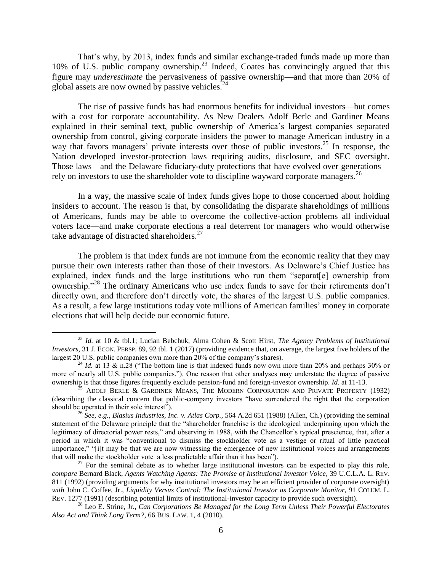That's why, by 2013, index funds and similar exchange-traded funds made up more than 10% of U.S. public company ownership.<sup>23</sup> Indeed, Coates has convincingly argued that this figure may *underestimate* the pervasiveness of passive ownership—and that more than 20% of global assets are now owned by passive vehicles. $^{24}$ 

The rise of passive funds has had enormous benefits for individual investors—but comes with a cost for corporate accountability. As New Dealers Adolf Berle and Gardiner Means explained in their seminal text, public ownership of America's largest companies separated ownership from control, giving corporate insiders the power to manage American industry in a way that favors managers' private interests over those of public investors.<sup>25</sup> In response, the Nation developed investor-protection laws requiring audits, disclosure, and SEC oversight. Those laws—and the Delaware fiduciary-duty protections that have evolved over generations rely on investors to use the shareholder vote to discipline wayward corporate managers.<sup>26</sup>

In a way, the massive scale of index funds gives hope to those concerned about holding insiders to account. The reason is that, by consolidating the disparate shareholdings of millions of Americans, funds may be able to overcome the collective-action problems all individual voters face—and make corporate elections a real deterrent for managers who would otherwise take advantage of distracted shareholders.<sup>27</sup>

The problem is that index funds are not immune from the economic reality that they may pursue their own interests rather than those of their investors. As Delaware's Chief Justice has explained, index funds and the large institutions who run them "separat[e] ownership from ownership."<sup>28</sup> The ordinary Americans who use index funds to save for their retirements don't directly own, and therefore don't directly vote, the shares of the largest U.S. public companies. As a result, a few large institutions today vote millions of American families' money in corporate elections that will help decide our economic future.

<sup>23</sup> *Id.* at 10 & tbl.1; Lucian Bebchuk, Alma Cohen & Scott Hirst, *The Agency Problems of Institutional Investors*, 31 J. ECON. PERSP. 89, 92 tbl. 1 (2017) (providing evidence that, on average, the largest five holders of the largest 20 U.S. public companies own more than 20% of the company's shares).

<sup>&</sup>lt;sup>24</sup> *Id.* at 13 & n.28 ("The bottom line is that indexed funds now own more than 20% and perhaps 30% or more of nearly all U.S. public companies."). One reason that other analyses may understate the degree of passive ownership is that those figures frequently exclude pension-fund and foreign-investor ownership. *Id.* at 11-13.

<sup>&</sup>lt;sup>25</sup> ADOLF BERLE & GARDINER MEANS, THE MODERN CORPORATION AND PRIVATE PROPERTY (1932) (describing the classical concern that public-company investors "have surrendered the right that the corporation should be operated in their sole interest").

<sup>26</sup> *See, e.g.*, *Blasius Industries, Inc. v. Atlas Corp.*, 564 A.2d 651 (1988) (Allen, Ch.) (providing the seminal statement of the Delaware principle that the "shareholder franchise is the ideological underpinning upon which the legitimacy of directorial power rests," and observing in 1988, with the Chancellor's typical prescience, that, after a period in which it was "conventional to dismiss the stockholder vote as a vestige or ritual of little practical importance," "[i]t may be that we are now witnessing the emergence of new institutional voices and arrangements that will make the stockholder vote a less predictable affair than it has been").

 $27$  For the seminal debate as to whether large institutional investors can be expected to play this role, *compare* Bernard Black, *Agents Watching Agents: The Promise of Institutional Investor Voice*, 39 U.C.L.A. L. REV. 811 (1992) (providing arguments for why institutional investors may be an efficient provider of corporate oversight) *with* John C. Coffee, Jr., *Liquidity Versus Control: The Institutional Investor as Corporate Monitor*, 91 COLUM. L. REV. 1277 (1991) (describing potential limits of institutional-investor capacity to provide such oversight).

<sup>28</sup> Leo E. Strine, Jr., *Can Corporations Be Managed for the Long Term Unless Their Powerful Electorates Also Act and Think Long Term?*, 66 BUS. LAW. 1, 4 (2010).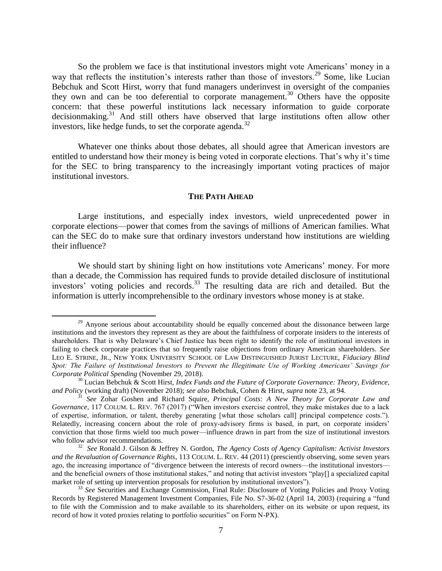So the problem we face is that institutional investors might vote Americans' money in a way that reflects the institution's interests rather than those of investors.<sup>29</sup> Some, like Lucian Bebchuk and Scott Hirst, worry that fund managers underinvest in oversight of the companies they own and can be too deferential to corporate management.<sup>30</sup> Others have the opposite concern: that these powerful institutions lack necessary information to guide corporate decisionmaking.<sup>31</sup> And still others have observed that large institutions often allow other investors, like hedge funds, to set the corporate agenda. $32$ 

Whatever one thinks about those debates, all should agree that American investors are entitled to understand how their money is being voted in corporate elections. That's why it's time for the SEC to bring transparency to the increasingly important voting practices of major institutional investors.

## **THE PATH AHEAD**

Large institutions, and especially index investors, wield unprecedented power in corporate elections—power that comes from the savings of millions of American families. What can the SEC do to make sure that ordinary investors understand how institutions are wielding their influence?

We should start by shining light on how institutions vote Americans' money. For more than a decade, the Commission has required funds to provide detailed disclosure of institutional investors' voting policies and records.<sup>33</sup> The resulting data are rich and detailed. But the information is utterly incomprehensible to the ordinary investors whose money is at stake.

 $29$  Anyone serious about accountability should be equally concerned about the dissonance between large institutions and the investors they represent as they are about the faithfulness of corporate insiders to the interests of shareholders. That is why Delaware's Chief Justice has been right to identify the role of institutional investors in failing to check corporate practices that so frequently raise objections from ordinary American shareholders. *See*  LEO E. STRINE, JR., NEW YORK UNIVERSITY SCHOOL OF LAW DISTINGUISHED JURIST LECTURE, *Fiduciary Blind Spot: The Failure of Institutional Investors to Prevent the Illegitimate Use of Working Americans' Savings for Corporate Political Spending* (November 29, 2018).

<sup>30</sup> Lucian Bebchuk & Scott Hirst, *Index Funds and the Future of Corporate Governance: Theory, Evidence, and Policy* (working draft) (November 2018); *see also* Bebchuk, Cohen & Hirst, *supra* note 23, at 94.

<sup>31</sup> *See* Zohar Goshen and Richard Squire, *Principal Costs: A New Theory for Corporate Law and Governance*, 117 COLUM. L. REV. 767 (2017) ("When investors exercise control, they make mistakes due to a lack of expertise, information, or talent, thereby generating [what those scholars call] principal competence costs."). Relatedly, increasing concern about the role of proxy-advisory firms is based, in part, on corporate insiders' conviction that those firms wield too much power—influence drawn in part from the size of institutional investors who follow advisor recommendations.

<sup>32</sup> *See* Ronald J. Gilson & Jeffrey N. Gordon, *The Agency Costs of Agency Capitalism: Activist Investors and the Revaluation of Governance Rights*, 113 COLUM. L. REV. 44 (2011) (presciently observing, some seven years ago, the increasing importance of "divergence between the interests of record owners—the institutional investors and the beneficial owners of those institutional stakes," and noting that activist investors "play[] a specialized capital market role of setting up intervention proposals for resolution by institutional investors").

<sup>33</sup> *See* Securities and Exchange Commission, Final Rule: Disclosure of Voting Policies and Proxy Voting Records by Registered Management Investment Companies, File No. S7-36-02 (April 14, 2003) (requiring a "fund to file with the Commission and to make available to its shareholders, either on its website or upon request, its record of how it voted proxies relating to portfolio securities" on Form N-PX).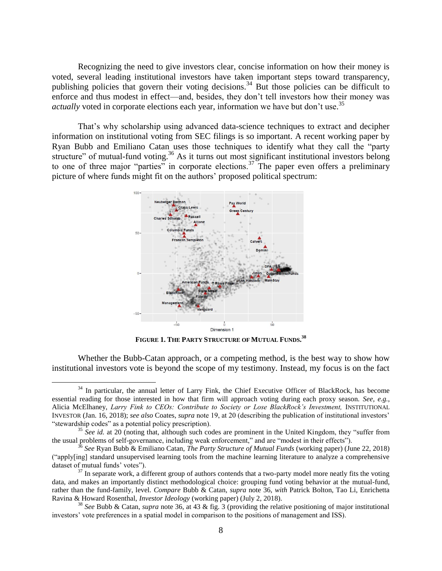Recognizing the need to give investors clear, concise information on how their money is voted, several leading institutional investors have taken important steps toward transparency, publishing policies that govern their voting decisions.<sup>34</sup> But those policies can be difficult to enforce and thus modest in effect—and, besides, they don't tell investors how their money was *actually* voted in corporate elections each year, information we have but don't use. 35

That's why scholarship using advanced data-science techniques to extract and decipher information on institutional voting from SEC filings is so important. A recent working paper by Ryan Bubb and Emiliano Catan uses those techniques to identify what they call the "party structure" of mutual-fund voting.<sup>36</sup> As it turns out most significant institutional investors belong to one of three major "parties" in corporate elections.<sup>37</sup> The paper even offers a preliminary picture of where funds might fit on the authors' proposed political spectrum:



**FIGURE 1. THE PARTY STRUCTURE OF MUTUAL FUNDS. 38**

Whether the Bubb-Catan approach, or a competing method, is the best way to show how institutional investors vote is beyond the scope of my testimony. Instead, my focus is on the fact

<sup>&</sup>lt;sup>34</sup> In particular, the annual letter of Larry Fink, the Chief Executive Officer of BlackRock, has become essential reading for those interested in how that firm will approach voting during each proxy season. *See, e.g.*, Alicia McElhaney, *Larry Fink to CEOs: Contribute to Society or Lose BlackRock's Investment,* INSTITUTIONAL INVESTOR (Jan. 16, 2018); *see also* Coates, *supra* note 19, at 20 (describing the publication of institutional investors' "stewardship codes" as a potential policy prescription).

<sup>&</sup>lt;sup>35</sup> See id. at 20 (noting that, although such codes are prominent in the United Kingdom, they "suffer from the usual problems of self-governance, including weak enforcement," and are "modest in their effects").

<sup>36</sup> *See* Ryan Bubb & Emiliano Catan, *The Party Structure of Mutual Funds* (working paper) (June 22, 2018) ("apply[ing] standard unsupervised learning tools from the machine learning literature to analyze a comprehensive dataset of mutual funds' votes").

 $37$  In separate work, a different group of authors contends that a two-party model more neatly fits the voting data, and makes an importantly distinct methodological choice: grouping fund voting behavior at the mutual-fund, rather than the fund-family, level. *Compare* Bubb & Catan, *supra* note 36, *with* Patrick Bolton, Tao Li, Enrichetta Ravina & Howard Rosenthal, *Investor Ideology* (working paper) (July 2, 2018).

<sup>38</sup> *See* Bubb & Catan, *supra* note 36, at 43 & fig. 3 (providing the relative positioning of major institutional investors' vote preferences in a spatial model in comparison to the positions of management and ISS).